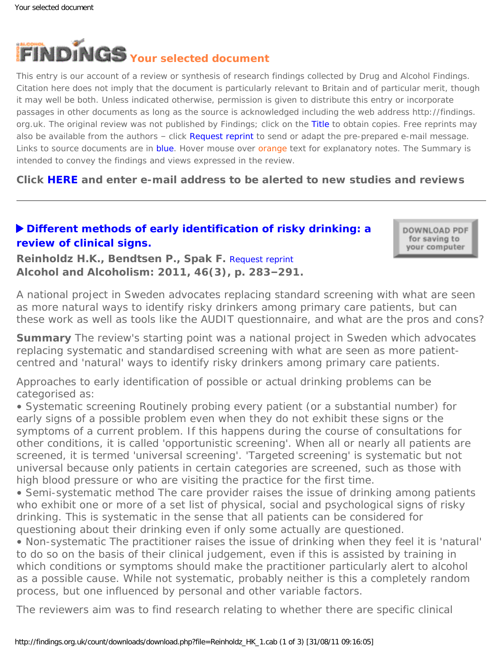

This entry is our account of a review or synthesis of research findings collected by Drug and Alcohol Findings. Citation here does not imply that the document is particularly relevant to Britain and of particular merit, though it may well be both. Unless indicated otherwise, permission is given to distribute this entry or incorporate passages in other documents as long as the source is acknowledged including the web address http://findings. org.uk. The original review was not published by Findings; click on the Title to obtain copies. Free reprints may also be available from the authors – click Request reprint to send or adapt the pre-prepared e-mail message. Links to source documents are in blue. Hover mouse over orange text for explanatory notes. The Summary is intended to convey the findings and views expressed in the review.

**Click [HERE](https://findings.org.uk/index.php#signUp) and enter e-mail address to be alerted to new studies and reviews**

## **[Different methods of early identification of risky drinking: a](http://dx.doi.org/10.1093/alcalc/agr021) [review of clinical signs.](http://dx.doi.org/10.1093/alcalc/agr021)**

DOWNLOAD PDF for saving to your computer

**Reinholdz H.K., Bendtsen P., Spak F.** [Request reprint](mailto:hanna.reinholdz@gu.se?Subject=Reprint%20request&body=Dear Dr Reinholdz%0A%0AOn the Drug and Alcohol Findings web site (https://findings.org.uk) I read about your article:%0AReinholdz H.K., Bendtsen P., Spak F. Different methods of early identification of risky drinking: a review of clinical signs. Alcohol and Alcoholism: 2011, 46(3), p. 283-291.%0A%0AWould it be possible to for me to be sent a PDF reprint or the manuscript by return e-mail?%0A) **Alcohol and Alcoholism: 2011, 46(3), p. 283–291.**

*A national project in Sweden advocates replacing standard screening with what are seen*  as more natural ways to identify risky drinkers among primary care patients, but can *these work as well as tools like the AUDIT questionnaire, and what are the pros and cons?*

**Summary** The review's starting point was a national project in Sweden which advocates replacing systematic and standardised screening with what are seen as more patientcentred and 'natural' ways to identify risky drinkers among primary care patients.

Approaches to early identification of possible or actual drinking problems can be categorised as:

• *Systematic screening* Routinely probing every patient (or a substantial number) for early signs of a possible problem even when they do not exhibit these signs or the symptoms of a current problem. If this happens during the course of consultations for other conditions, it is called 'opportunistic screening'. When all or nearly all patients are screened, it is termed 'universal screening'. 'Targeted screening' is systematic but not universal because only patients in certain categories are screened, such as those with high blood pressure or who are visiting the practice for the first time.

• *Semi-systematic method* The care provider raises the issue of drinking among patients who exhibit one or more of a set list of physical, social and psychological signs of risky drinking. This is systematic in the sense that all patients can be considered for questioning about their drinking even if only some actually are questioned.

• *Non-systematic* The practitioner raises the issue of drinking when they feel it is 'natural' to do so on the basis of their clinical judgement, even if this is assisted by training in which conditions or symptoms should make the practitioner particularly alert to alcohol as a possible cause. While not systematic, probably neither is this a completely random process, but one influenced by personal and other variable factors.

The reviewers aim was to find research relating to whether there are specific clinical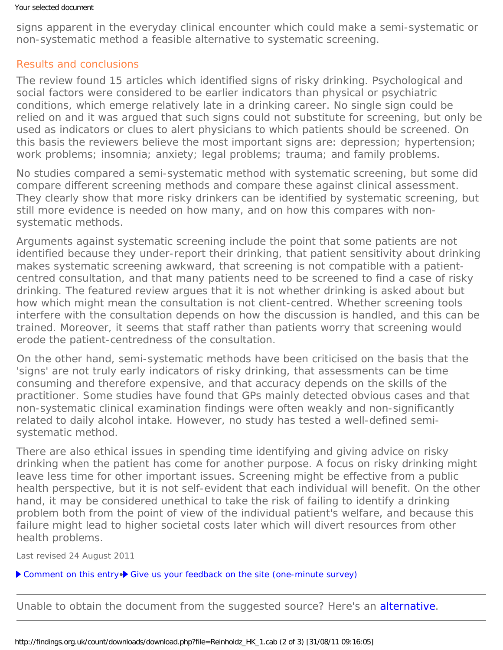signs apparent in the everyday clinical encounter which could make a semi-systematic or non-systematic method a feasible alternative to systematic screening.

## Results and conclusions

The review found 15 articles which identified signs of risky drinking. Psychological and social factors were considered to be earlier indicators than physical or psychiatric conditions, which emerge relatively late in a drinking career. No single sign could be relied on and it was argued that such signs could not substitute for screening, but only be used as indicators or clues to alert physicians to which patients should be screened. On this basis the reviewers believe the most important signs are: depression; hypertension; work problems; insomnia; anxiety; legal problems; trauma; and family problems.

No studies compared a semi-systematic method with systematic screening, but some did compare different screening methods and compare these against clinical assessment. They clearly show that more risky drinkers can be identified by systematic screening, but still more evidence is needed on how many, and on how this compares with nonsystematic methods.

Arguments against systematic screening include the point that some patients are not identified because they under-report their drinking, that patient sensitivity about drinking makes systematic screening awkward, that screening is not compatible with a patientcentred consultation, and that many patients need to be screened to find a case of risky drinking. The featured review argues that it is not *whether* drinking is asked about but *how* which might mean the consultation is not client-centred. Whether screening tools interfere with the consultation depends on how the discussion is handled, and this can be trained. Moreover, it seems that staff rather than patients worry that screening would erode the patient-centredness of the consultation.

On the other hand, semi-systematic methods have been criticised on the basis that the 'signs' are not truly early indicators of risky drinking, that assessments can be time consuming and therefore expensive, and that accuracy depends on the skills of the practitioner. Some studies have found that GPs mainly detected obvious cases and that non-systematic clinical examination findings were often weakly and non-significantly related to daily alcohol intake. However, no study has tested a well-defined semisystematic method.

There are also ethical issues in spending time identifying and giving advice on risky drinking when the patient has come for another purpose. A focus on risky drinking might leave less time for other important issues. Screening might be effective from a public health perspective, but it is not self-evident that each individual will benefit. On the other hand, it may be considered unethical to take the risk of failing to identify a drinking problem both from the point of view of the individual patient's welfare, and because this failure might lead to higher societal costs later which will divert resources from other health problems.

Last revised 24 August 2011

[Comment on this entry](mailto:editor@findings.org.uk?Subject=Findings%20entry:%20Different%20methods%20of%20early%20identification%20of%20risky%20drinking:%20a%20review%20of%20clinical%20signs)• [Give us your feedback on the site \(one-minute survey\)](http://www.surveymonkey.com/s/C2PX7D5)

Unable to obtain the document from the suggested source? Here's an [alternative](http://www.ingentaconnect.com/content/oup/alcalc/2011/00000046/00000003/art00011).